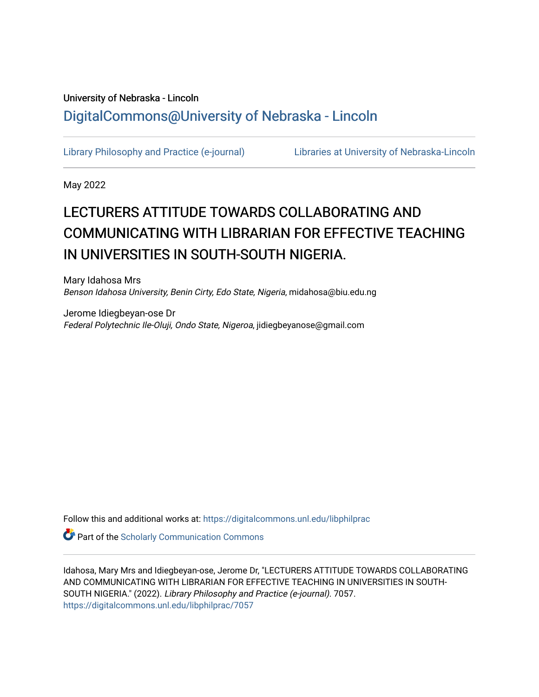# University of Nebraska - Lincoln [DigitalCommons@University of Nebraska - Lincoln](https://digitalcommons.unl.edu/)

[Library Philosophy and Practice \(e-journal\)](https://digitalcommons.unl.edu/libphilprac) [Libraries at University of Nebraska-Lincoln](https://digitalcommons.unl.edu/libraries) 

May 2022

# LECTURERS ATTITUDE TOWARDS COLLABORATING AND COMMUNICATING WITH LIBRARIAN FOR EFFECTIVE TEACHING IN UNIVERSITIES IN SOUTH-SOUTH NIGERIA.

Mary Idahosa Mrs Benson Idahosa University, Benin Cirty, Edo State, Nigeria, midahosa@biu.edu.ng

Jerome Idiegbeyan-ose Dr Federal Polytechnic Ile-Oluji, Ondo State, Nigeroa, jidiegbeyanose@gmail.com

Follow this and additional works at: [https://digitalcommons.unl.edu/libphilprac](https://digitalcommons.unl.edu/libphilprac?utm_source=digitalcommons.unl.edu%2Flibphilprac%2F7057&utm_medium=PDF&utm_campaign=PDFCoverPages) 

**Part of the Scholarly Communication Commons** 

Idahosa, Mary Mrs and Idiegbeyan-ose, Jerome Dr, "LECTURERS ATTITUDE TOWARDS COLLABORATING AND COMMUNICATING WITH LIBRARIAN FOR EFFECTIVE TEACHING IN UNIVERSITIES IN SOUTH-SOUTH NIGERIA." (2022). Library Philosophy and Practice (e-journal). 7057. [https://digitalcommons.unl.edu/libphilprac/7057](https://digitalcommons.unl.edu/libphilprac/7057?utm_source=digitalcommons.unl.edu%2Flibphilprac%2F7057&utm_medium=PDF&utm_campaign=PDFCoverPages)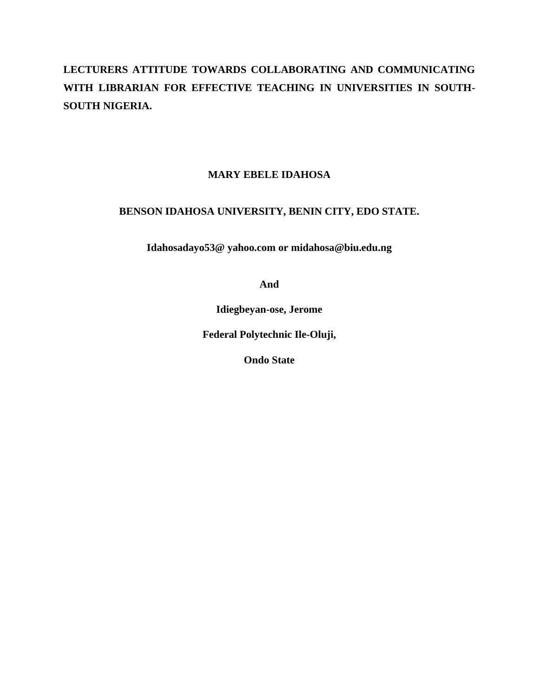# **LECTURERS ATTITUDE TOWARDS COLLABORATING AND COMMUNICATING WITH LIBRARIAN FOR EFFECTIVE TEACHING IN UNIVERSITIES IN SOUTH-SOUTH NIGERIA.**

## **MARY EBELE IDAHOSA**

## **BENSON IDAHOSA UNIVERSITY, BENIN CITY, EDO STATE.**

**Idahosadayo53@ yahoo.com or midahosa@biu.edu.ng**

**And**

**Idiegbeyan-ose, Jerome**

**Federal Polytechnic Ile-Oluji,**

**Ondo State**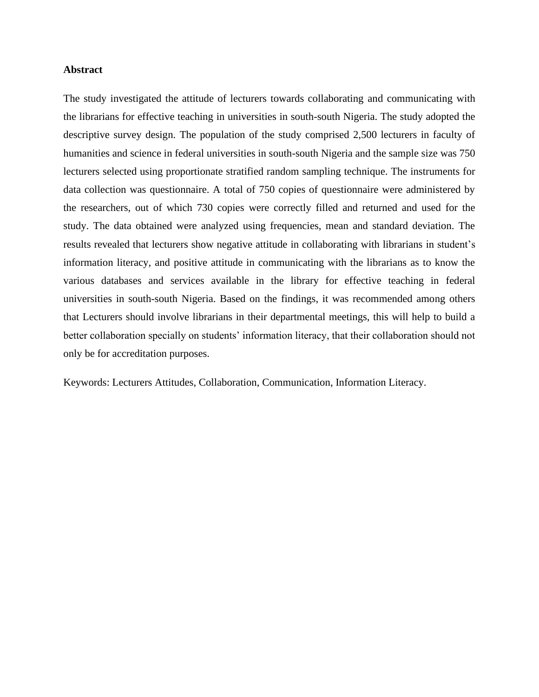#### **Abstract**

The study investigated the attitude of lecturers towards collaborating and communicating with the librarians for effective teaching in universities in south-south Nigeria. The study adopted the descriptive survey design. The population of the study comprised 2,500 lecturers in faculty of humanities and science in federal universities in south-south Nigeria and the sample size was 750 lecturers selected using proportionate stratified random sampling technique. The instruments for data collection was questionnaire. A total of 750 copies of questionnaire were administered by the researchers, out of which 730 copies were correctly filled and returned and used for the study. The data obtained were analyzed using frequencies, mean and standard deviation. The results revealed that lecturers show negative attitude in collaborating with librarians in student's information literacy, and positive attitude in communicating with the librarians as to know the various databases and services available in the library for effective teaching in federal universities in south-south Nigeria. Based on the findings, it was recommended among others that Lecturers should involve librarians in their departmental meetings, this will help to build a better collaboration specially on students' information literacy, that their collaboration should not only be for accreditation purposes.

Keywords: Lecturers Attitudes, Collaboration, Communication, Information Literacy.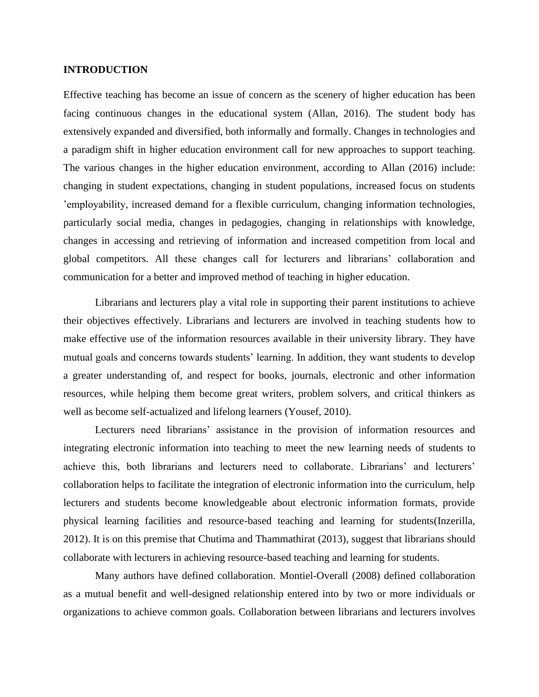#### **INTRODUCTION**

Effective teaching has become an issue of concern as the scenery of higher education has been facing continuous changes in the educational system (Allan, 2016). The student body has extensively expanded and diversified, both informally and formally. Changes in technologies and a paradigm shift in higher education environment call for new approaches to support teaching. The various changes in the higher education environment, according to Allan (2016) include: changing in student expectations, changing in student populations, increased focus on students 'employability, increased demand for a flexible curriculum, changing information technologies, particularly social media, changes in pedagogies, changing in relationships with knowledge, changes in accessing and retrieving of information and increased competition from local and global competitors. All these changes call for lecturers and librarians' collaboration and communication for a better and improved method of teaching in higher education.

Librarians and lecturers play a vital role in supporting their parent institutions to achieve their objectives effectively. Librarians and lecturers are involved in teaching students how to make effective use of the information resources available in their university library. They have mutual goals and concerns towards students' learning. In addition, they want students to develop a greater understanding of, and respect for books, journals, electronic and other information resources, while helping them become great writers, problem solvers, and critical thinkers as well as become self-actualized and lifelong learners (Yousef, 2010).

Lecturers need librarians' assistance in the provision of information resources and integrating electronic information into teaching to meet the new learning needs of students to achieve this, both librarians and lecturers need to collaborate. Librarians' and lecturers' collaboration helps to facilitate the integration of electronic information into the curriculum, help lecturers and students become knowledgeable about electronic information formats, provide physical learning facilities and resource-based teaching and learning for students(Inzerilla, 2012). It is on this premise that Chutima and Thammathirat (2013), suggest that librarians should collaborate with lecturers in achieving resource-based teaching and learning for students.

Many authors have defined collaboration. Montiel-Overall (2008) defined collaboration as a mutual benefit and well-designed relationship entered into by two or more individuals or organizations to achieve common goals. Collaboration between librarians and lecturers involves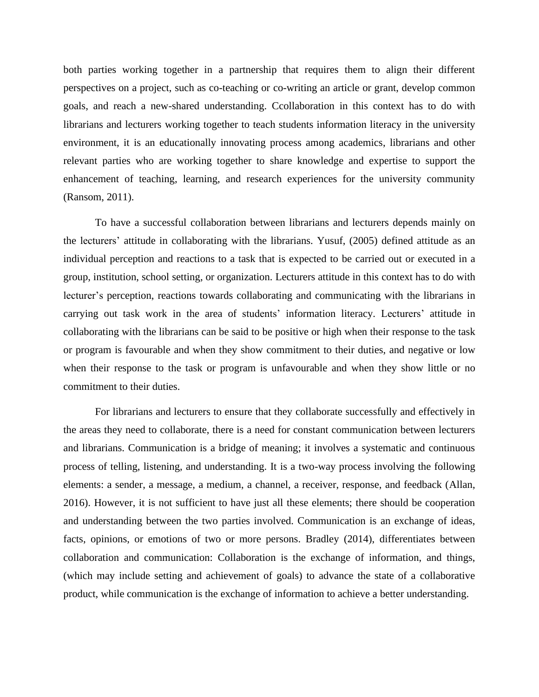both parties working together in a partnership that requires them to align their different perspectives on a project, such as co-teaching or co-writing an article or grant, develop common goals, and reach a new-shared understanding. Ccollaboration in this context has to do with librarians and lecturers working together to teach students information literacy in the university environment, it is an educationally innovating process among academics, librarians and other relevant parties who are working together to share knowledge and expertise to support the enhancement of teaching, learning, and research experiences for the university community (Ransom, 2011).

To have a successful collaboration between librarians and lecturers depends mainly on the lecturers' attitude in collaborating with the librarians. Yusuf, (2005) defined attitude as an individual perception and reactions to a task that is expected to be carried out or executed in a group, institution, school setting, or organization. Lecturers attitude in this context has to do with lecturer's perception, reactions towards collaborating and communicating with the librarians in carrying out task work in the area of students' information literacy. Lecturers' attitude in collaborating with the librarians can be said to be positive or high when their response to the task or program is favourable and when they show commitment to their duties, and negative or low when their response to the task or program is unfavourable and when they show little or no commitment to their duties.

For librarians and lecturers to ensure that they collaborate successfully and effectively in the areas they need to collaborate, there is a need for constant communication between lecturers and librarians. Communication is a bridge of meaning; it involves a systematic and continuous process of telling, listening, and understanding. It is a two-way process involving the following elements: a sender, a message, a medium, a channel, a receiver, response, and feedback (Allan, 2016). However, it is not sufficient to have just all these elements; there should be cooperation and understanding between the two parties involved. Communication is an exchange of ideas, facts, opinions, or emotions of two or more persons. Bradley (2014), differentiates between collaboration and communication: Collaboration is the exchange of information, and things, (which may include setting and achievement of goals) to advance the state of a collaborative product, while communication is the exchange of information to achieve a better understanding.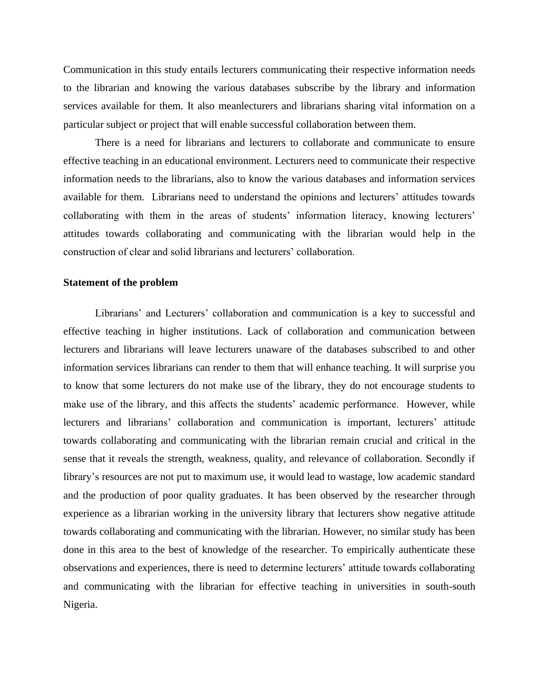Communication in this study entails lecturers communicating their respective information needs to the librarian and knowing the various databases subscribe by the library and information services available for them. It also meanlecturers and librarians sharing vital information on a particular subject or project that will enable successful collaboration between them.

There is a need for librarians and lecturers to collaborate and communicate to ensure effective teaching in an educational environment. Lecturers need to communicate their respective information needs to the librarians, also to know the various databases and information services available for them. Librarians need to understand the opinions and lecturers' attitudes towards collaborating with them in the areas of students' information literacy, knowing lecturers' attitudes towards collaborating and communicating with the librarian would help in the construction of clear and solid librarians and lecturers' collaboration.

#### **Statement of the problem**

Librarians' and Lecturers' collaboration and communication is a key to successful and effective teaching in higher institutions. Lack of collaboration and communication between lecturers and librarians will leave lecturers unaware of the databases subscribed to and other information services librarians can render to them that will enhance teaching. It will surprise you to know that some lecturers do not make use of the library, they do not encourage students to make use of the library, and this affects the students' academic performance. However, while lecturers and librarians' collaboration and communication is important, lecturers' attitude towards collaborating and communicating with the librarian remain crucial and critical in the sense that it reveals the strength, weakness, quality, and relevance of collaboration. Secondly if library's resources are not put to maximum use, it would lead to wastage, low academic standard and the production of poor quality graduates. It has been observed by the researcher through experience as a librarian working in the university library that lecturers show negative attitude towards collaborating and communicating with the librarian. However, no similar study has been done in this area to the best of knowledge of the researcher. To empirically authenticate these observations and experiences, there is need to determine lecturers' attitude towards collaborating and communicating with the librarian for effective teaching in universities in south-south Nigeria.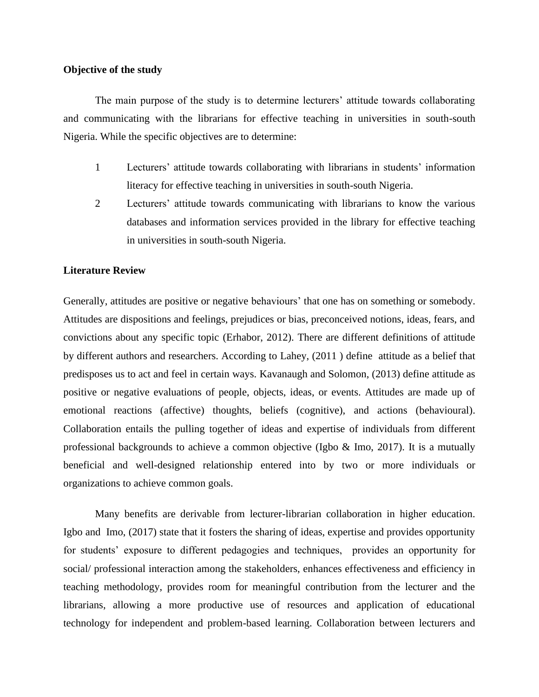#### **Objective of the study**

The main purpose of the study is to determine lecturers' attitude towards collaborating and communicating with the librarians for effective teaching in universities in south-south Nigeria. While the specific objectives are to determine:

- 1 Lecturers' attitude towards collaborating with librarians in students' information literacy for effective teaching in universities in south-south Nigeria.
- 2 Lecturers' attitude towards communicating with librarians to know the various databases and information services provided in the library for effective teaching in universities in south-south Nigeria.

#### **Literature Review**

Generally, attitudes are positive or negative behaviours' that one has on something or somebody. Attitudes are dispositions and feelings, prejudices or bias, preconceived notions, ideas, fears, and convictions about any specific topic (Erhabor, 2012). There are different definitions of attitude by different authors and researchers. According to Lahey, (2011 ) define attitude as a belief that predisposes us to act and feel in certain ways. Kavanaugh and Solomon, (2013) define attitude as positive or negative evaluations of people, objects, ideas, or events. Attitudes are made up of emotional reactions (affective) thoughts, beliefs (cognitive), and actions (behavioural). Collaboration entails the pulling together of ideas and expertise of individuals from different professional backgrounds to achieve a common objective (Igbo & Imo, 2017). It is a mutually beneficial and well-designed relationship entered into by two or more individuals or organizations to achieve common goals.

Many benefits are derivable from lecturer-librarian collaboration in higher education. Igbo and Imo, (2017) state that it fosters the sharing of ideas, expertise and provides opportunity for students' exposure to different pedagogies and techniques, provides an opportunity for social/ professional interaction among the stakeholders, enhances effectiveness and efficiency in teaching methodology, provides room for meaningful contribution from the lecturer and the librarians, allowing a more productive use of resources and application of educational technology for independent and problem-based learning. Collaboration between lecturers and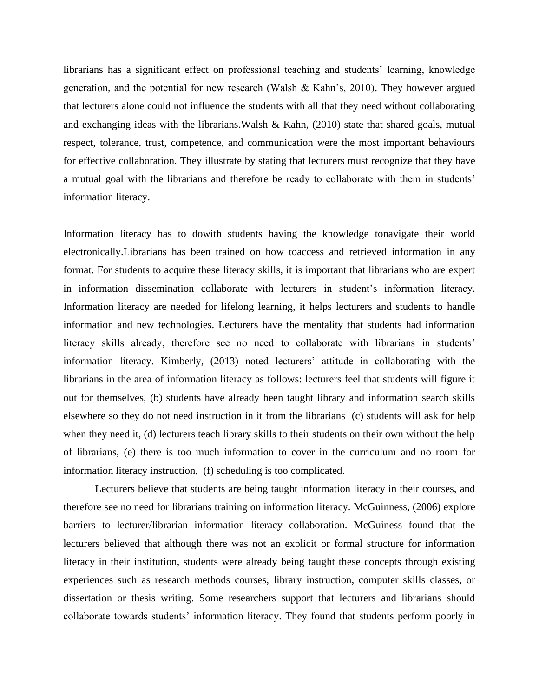librarians has a significant effect on professional teaching and students' learning, knowledge generation, and the potential for new research (Walsh & Kahn's, 2010). They however argued that lecturers alone could not influence the students with all that they need without collaborating and exchanging ideas with the librarians.Walsh & Kahn, (2010) state that shared goals, mutual respect, tolerance, trust, competence, and communication were the most important behaviours for effective collaboration. They illustrate by stating that lecturers must recognize that they have a mutual goal with the librarians and therefore be ready to collaborate with them in students' information literacy.

Information literacy has to dowith students having the knowledge tonavigate their world electronically.Librarians has been trained on how toaccess and retrieved information in any format. For students to acquire these literacy skills, it is important that librarians who are expert in information dissemination collaborate with lecturers in student's information literacy. Information literacy are needed for lifelong learning, it helps lecturers and students to handle information and new technologies. Lecturers have the mentality that students had information literacy skills already, therefore see no need to collaborate with librarians in students' information literacy. Kimberly, (2013) noted lecturers' attitude in collaborating with the librarians in the area of information literacy as follows: lecturers feel that students will figure it out for themselves, (b) students have already been taught library and information search skills elsewhere so they do not need instruction in it from the librarians (c) students will ask for help when they need it, (d) lecturers teach library skills to their students on their own without the help of librarians, (e) there is too much information to cover in the curriculum and no room for information literacy instruction, (f) scheduling is too complicated.

Lecturers believe that students are being taught information literacy in their courses, and therefore see no need for librarians training on information literacy. McGuinness, (2006) explore barriers to lecturer/librarian information literacy collaboration. McGuiness found that the lecturers believed that although there was not an explicit or formal structure for information literacy in their institution, students were already being taught these concepts through existing experiences such as research methods courses, library instruction, computer skills classes, or dissertation or thesis writing. Some researchers support that lecturers and librarians should collaborate towards students' information literacy. They found that students perform poorly in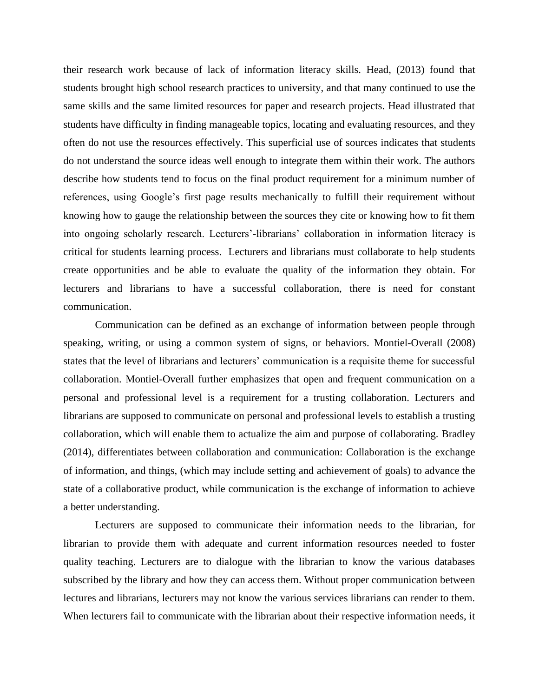their research work because of lack of information literacy skills. Head, (2013) found that students brought high school research practices to university, and that many continued to use the same skills and the same limited resources for paper and research projects. Head illustrated that students have difficulty in finding manageable topics, locating and evaluating resources, and they often do not use the resources effectively. This superficial use of sources indicates that students do not understand the source ideas well enough to integrate them within their work. The authors describe how students tend to focus on the final product requirement for a minimum number of references, using Google's first page results mechanically to fulfill their requirement without knowing how to gauge the relationship between the sources they cite or knowing how to fit them into ongoing scholarly research. Lecturers'-librarians' collaboration in information literacy is critical for students learning process. Lecturers and librarians must collaborate to help students create opportunities and be able to evaluate the quality of the information they obtain. For lecturers and librarians to have a successful collaboration, there is need for constant communication.

Communication can be defined as an exchange of information between people through speaking, writing, or using a common system of signs, or behaviors. Montiel-Overall (2008) states that the level of librarians and lecturers' communication is a requisite theme for successful collaboration. Montiel-Overall further emphasizes that open and frequent communication on a personal and professional level is a requirement for a trusting collaboration. Lecturers and librarians are supposed to communicate on personal and professional levels to establish a trusting collaboration, which will enable them to actualize the aim and purpose of collaborating. Bradley (2014), differentiates between collaboration and communication: Collaboration is the exchange of information, and things, (which may include setting and achievement of goals) to advance the state of a collaborative product, while communication is the exchange of information to achieve a better understanding.

Lecturers are supposed to communicate their information needs to the librarian, for librarian to provide them with adequate and current information resources needed to foster quality teaching. Lecturers are to dialogue with the librarian to know the various databases subscribed by the library and how they can access them. Without proper communication between lectures and librarians, lecturers may not know the various services librarians can render to them. When lecturers fail to communicate with the librarian about their respective information needs, it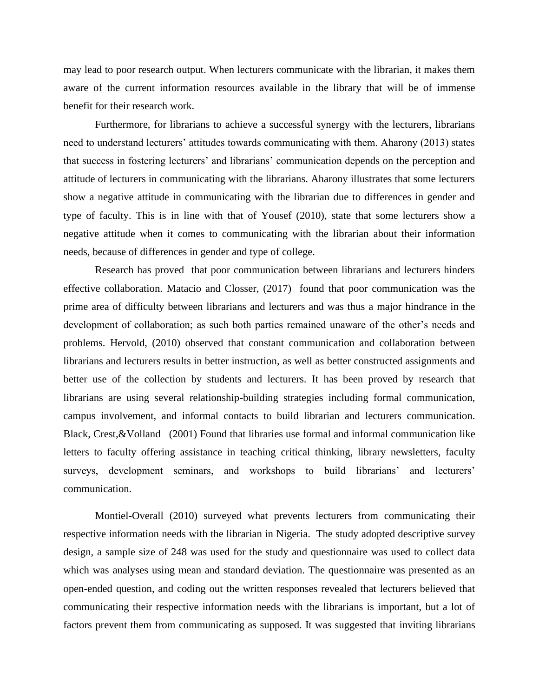may lead to poor research output. When lecturers communicate with the librarian, it makes them aware of the current information resources available in the library that will be of immense benefit for their research work.

Furthermore, for librarians to achieve a successful synergy with the lecturers, librarians need to understand lecturers' attitudes towards communicating with them. Aharony (2013) states that success in fostering lecturers' and librarians' communication depends on the perception and attitude of lecturers in communicating with the librarians. Aharony illustrates that some lecturers show a negative attitude in communicating with the librarian due to differences in gender and type of faculty. This is in line with that of Yousef (2010), state that some lecturers show a negative attitude when it comes to communicating with the librarian about their information needs, because of differences in gender and type of college.

Research has proved that poor communication between librarians and lecturers hinders effective collaboration. Matacio and Closser, (2017) found that poor communication was the prime area of difficulty between librarians and lecturers and was thus a major hindrance in the development of collaboration; as such both parties remained unaware of the other's needs and problems. Hervold, (2010) observed that constant communication and collaboration between librarians and lecturers results in better instruction, as well as better constructed assignments and better use of the collection by students and lecturers. It has been proved by research that librarians are using several relationship-building strategies including formal communication, campus involvement, and informal contacts to build librarian and lecturers communication. Black, Crest,&Volland (2001) Found that libraries use formal and informal communication like letters to faculty offering assistance in teaching critical thinking, library newsletters, faculty surveys, development seminars, and workshops to build librarians' and lecturers' communication.

Montiel-Overall (2010) surveyed what prevents lecturers from communicating their respective information needs with the librarian in Nigeria. The study adopted descriptive survey design, a sample size of 248 was used for the study and questionnaire was used to collect data which was analyses using mean and standard deviation. The questionnaire was presented as an open-ended question, and coding out the written responses revealed that lecturers believed that communicating their respective information needs with the librarians is important, but a lot of factors prevent them from communicating as supposed. It was suggested that inviting librarians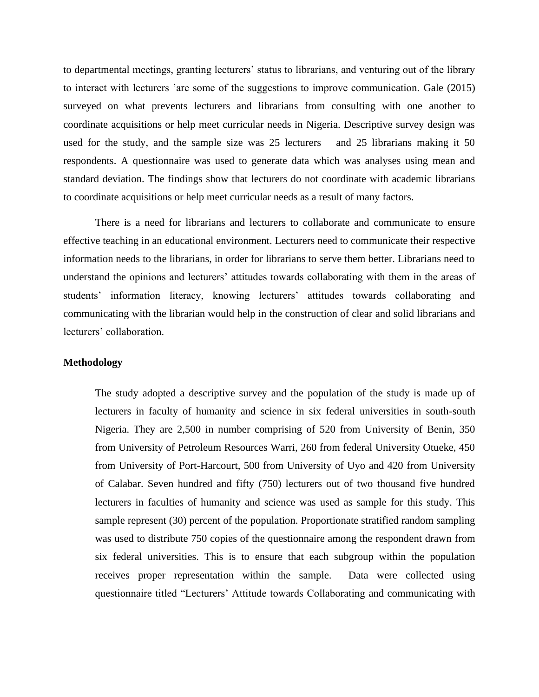to departmental meetings, granting lecturers' status to librarians, and venturing out of the library to interact with lecturers 'are some of the suggestions to improve communication. Gale (2015) surveyed on what prevents lecturers and librarians from consulting with one another to coordinate acquisitions or help meet curricular needs in Nigeria. Descriptive survey design was used for the study, and the sample size was 25 lecturers and 25 librarians making it 50 respondents. A questionnaire was used to generate data which was analyses using mean and standard deviation. The findings show that lecturers do not coordinate with academic librarians to coordinate acquisitions or help meet curricular needs as a result of many factors.

There is a need for librarians and lecturers to collaborate and communicate to ensure effective teaching in an educational environment. Lecturers need to communicate their respective information needs to the librarians, in order for librarians to serve them better. Librarians need to understand the opinions and lecturers' attitudes towards collaborating with them in the areas of students' information literacy, knowing lecturers' attitudes towards collaborating and communicating with the librarian would help in the construction of clear and solid librarians and lecturers' collaboration.

#### **Methodology**

The study adopted a descriptive survey and the population of the study is made up of lecturers in faculty of humanity and science in six federal universities in south-south Nigeria. They are 2,500 in number comprising of 520 from University of Benin, 350 from University of Petroleum Resources Warri, 260 from federal University Otueke, 450 from University of Port-Harcourt, 500 from University of Uyo and 420 from University of Calabar. Seven hundred and fifty (750) lecturers out of two thousand five hundred lecturers in faculties of humanity and science was used as sample for this study. This sample represent (30) percent of the population. Proportionate stratified random sampling was used to distribute 750 copies of the questionnaire among the respondent drawn from six federal universities. This is to ensure that each subgroup within the population receives proper representation within the sample. Data were collected using questionnaire titled "Lecturers' Attitude towards Collaborating and communicating with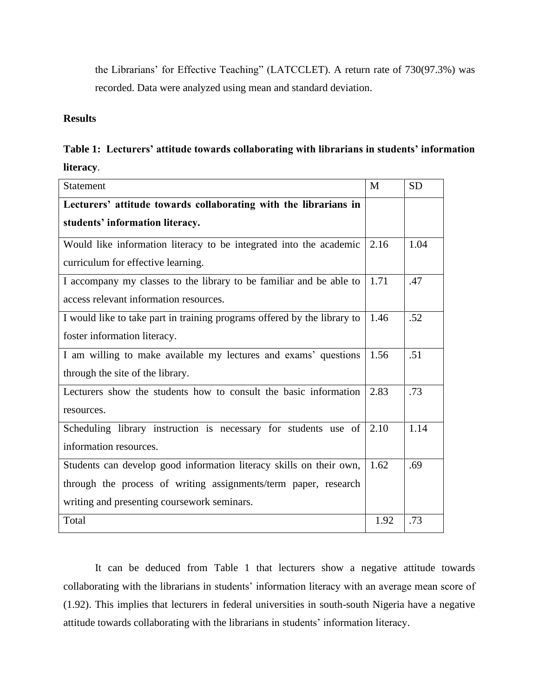the Librarians' for Effective Teaching" (LATCCLET). A return rate of 730(97.3%) was recorded. Data were analyzed using mean and standard deviation.

### **Results**

|           |  | Table 1: Lecturers' attitude towards collaborating with librarians in students' information |  |  |
|-----------|--|---------------------------------------------------------------------------------------------|--|--|
| literacy. |  |                                                                                             |  |  |

| Statement                                                                | M    | <b>SD</b> |
|--------------------------------------------------------------------------|------|-----------|
| Lecturers' attitude towards collaborating with the librarians in         |      |           |
| students' information literacy.                                          |      |           |
| Would like information literacy to be integrated into the academic       | 2.16 | 1.04      |
| curriculum for effective learning.                                       |      |           |
| I accompany my classes to the library to be familiar and be able to      | 1.71 | .47       |
| access relevant information resources.                                   |      |           |
| I would like to take part in training programs offered by the library to | 1.46 | .52       |
| foster information literacy.                                             |      |           |
| I am willing to make available my lectures and exams' questions          | 1.56 | .51       |
| through the site of the library.                                         |      |           |
| Lecturers show the students how to consult the basic information         | 2.83 | .73       |
| resources.                                                               |      |           |
| Scheduling library instruction is necessary for students use of          | 2.10 | 1.14      |
| information resources.                                                   |      |           |
| Students can develop good information literacy skills on their own,      | 1.62 | .69       |
| through the process of writing assignments/term paper, research          |      |           |
| writing and presenting coursework seminars.                              |      |           |
| Total                                                                    | 1.92 | .73       |

It can be deduced from Table 1 that lecturers show a negative attitude towards collaborating with the librarians in students' information literacy with an average mean score of (1.92). This implies that lecturers in federal universities in south-south Nigeria have a negative attitude towards collaborating with the librarians in students' information literacy.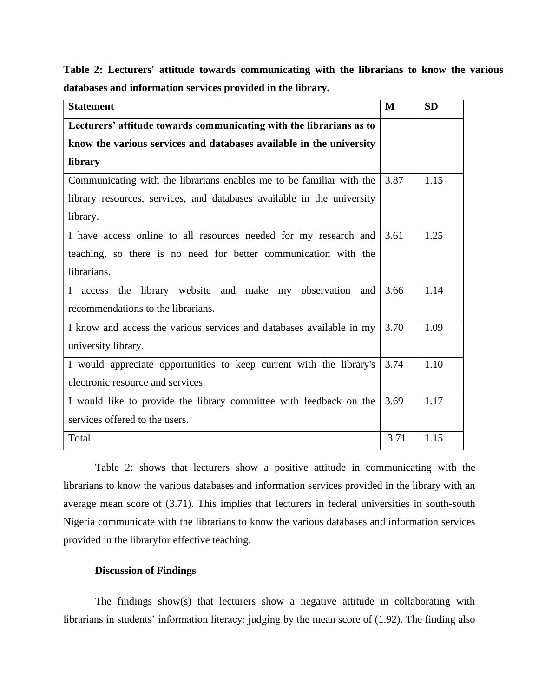| <b>Statement</b>                                                       | M    | <b>SD</b> |
|------------------------------------------------------------------------|------|-----------|
| Lecturers' attitude towards communicating with the librarians as to    |      |           |
| know the various services and databases available in the university    |      |           |
| library                                                                |      |           |
| Communicating with the librarians enables me to be familiar with the   | 3.87 | 1.15      |
| library resources, services, and databases available in the university |      |           |
| library.                                                               |      |           |
| I have access online to all resources needed for my research and       | 3.61 | 1.25      |
| teaching, so there is no need for better communication with the        |      |           |
| librarians.                                                            |      |           |
| I access the library website and make my observation and               | 3.66 | 1.14      |
| recommendations to the librarians.                                     |      |           |
| I know and access the various services and databases available in my   | 3.70 | 1.09      |
| university library.                                                    |      |           |
| I would appreciate opportunities to keep current with the library's    | 3.74 | 1.10      |
| electronic resource and services.                                      |      |           |
| I would like to provide the library committee with feedback on the     | 3.69 | 1.17      |
| services offered to the users.                                         |      |           |
| Total                                                                  | 3.71 | 1.15      |

**Table 2: Lecturers' attitude towards communicating with the librarians to know the various databases and information services provided in the library.**

Table 2: shows that lecturers show a positive attitude in communicating with the librarians to know the various databases and information services provided in the library with an average mean score of (3.71). This implies that lecturers in federal universities in south-south Nigeria communicate with the librarians to know the various databases and information services provided in the libraryfor effective teaching.

#### **Discussion of Findings**

The findings show(s) that lecturers show a negative attitude in collaborating with librarians in students' information literacy: judging by the mean score of (1.92). The finding also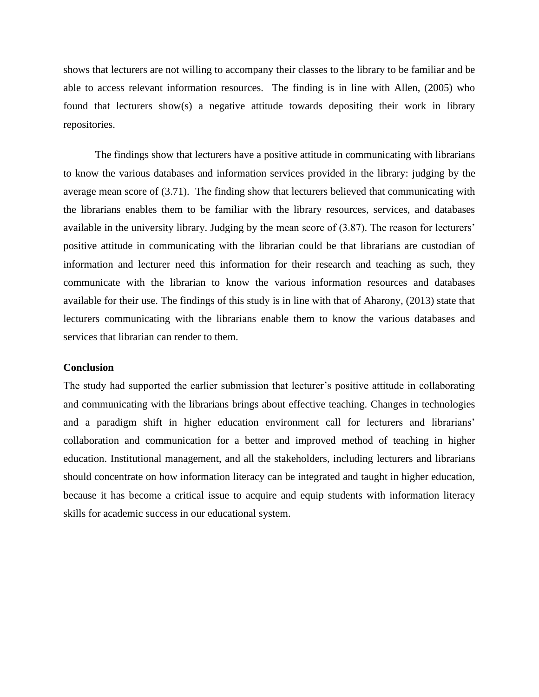shows that lecturers are not willing to accompany their classes to the library to be familiar and be able to access relevant information resources. The finding is in line with Allen, (2005) who found that lecturers show(s) a negative attitude towards depositing their work in library repositories.

The findings show that lecturers have a positive attitude in communicating with librarians to know the various databases and information services provided in the library: judging by the average mean score of (3.71). The finding show that lecturers believed that communicating with the librarians enables them to be familiar with the library resources, services, and databases available in the university library. Judging by the mean score of (3.87). The reason for lecturers' positive attitude in communicating with the librarian could be that librarians are custodian of information and lecturer need this information for their research and teaching as such, they communicate with the librarian to know the various information resources and databases available for their use. The findings of this study is in line with that of Aharony, (2013) state that lecturers communicating with the librarians enable them to know the various databases and services that librarian can render to them.

#### **Conclusion**

The study had supported the earlier submission that lecturer's positive attitude in collaborating and communicating with the librarians brings about effective teaching. Changes in technologies and a paradigm shift in higher education environment call for lecturers and librarians' collaboration and communication for a better and improved method of teaching in higher education. Institutional management, and all the stakeholders, including lecturers and librarians should concentrate on how information literacy can be integrated and taught in higher education, because it has become a critical issue to acquire and equip students with information literacy skills for academic success in our educational system.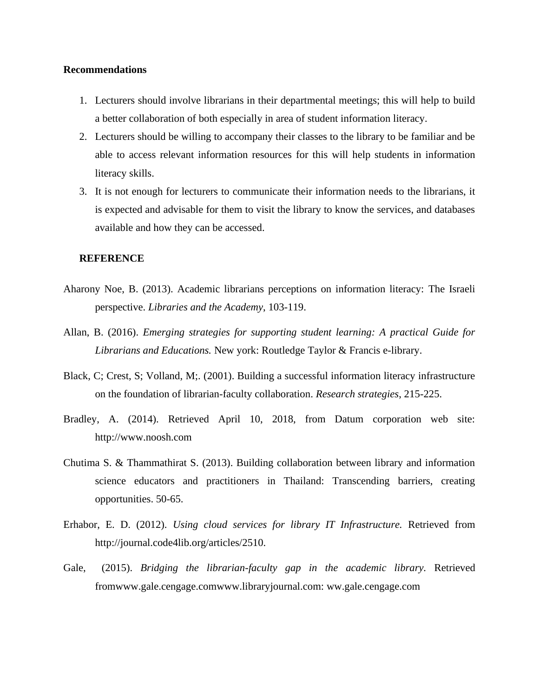#### **Recommendations**

- 1. Lecturers should involve librarians in their departmental meetings; this will help to build a better collaboration of both especially in area of student information literacy.
- 2. Lecturers should be willing to accompany their classes to the library to be familiar and be able to access relevant information resources for this will help students in information literacy skills.
- 3. It is not enough for lecturers to communicate their information needs to the librarians, it is expected and advisable for them to visit the library to know the services, and databases available and how they can be accessed.

#### **REFERENCE**

- Aharony Noe, B. (2013). Academic librarians perceptions on information literacy: The Israeli perspective. *Libraries and the Academy*, 103-119.
- Allan, B. (2016). *Emerging strategies for supporting student learning: A practical Guide for Librarians and Educations.* New york: Routledge Taylor & Francis e-library.
- Black, C; Crest, S; Volland, M;. (2001). Building a successful information literacy infrastructure on the foundation of librarian-faculty collaboration. *Research strategies*, 215-225.
- Bradley, A. (2014). Retrieved April 10, 2018, from Datum corporation web site: http://www.noosh.com
- Chutima S. & Thammathirat S. (2013). Building collaboration between library and information science educators and practitioners in Thailand: Transcending barriers, creating opportunities. 50-65.
- Erhabor, E. D. (2012). *Using cloud services for library IT Infrastructure.* Retrieved from http://journal.code4lib.org/articles/2510.
- Gale, (2015). *Bridging the librarian-faculty gap in the academic library.* Retrieved fromwww.gale.cengage.comwww.libraryjournal.com: ww.gale.cengage.com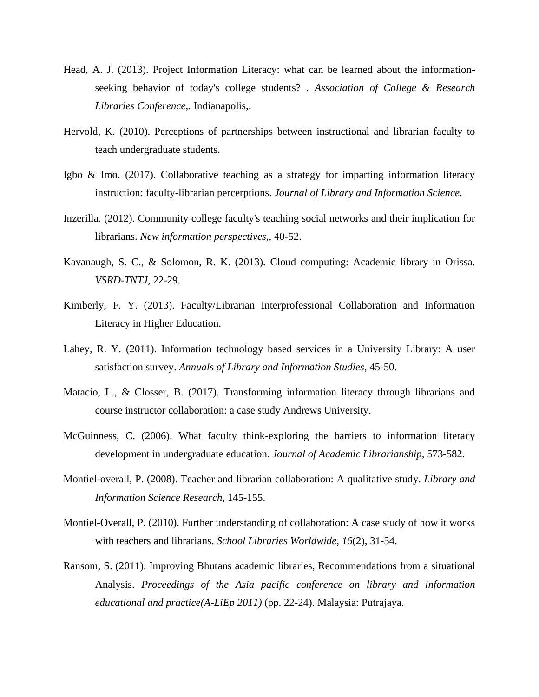- Head, A. J. (2013). Project Information Literacy: what can be learned about the informationseeking behavior of today's college students? . *Association of College & Research Libraries Conference,.* Indianapolis,.
- Hervold, K. (2010). Perceptions of partnerships between instructional and librarian faculty to teach undergraduate students.
- Igbo & Imo. (2017). Collaborative teaching as a strategy for imparting information literacy instruction: faculty-librarian percerptions. *Journal of Library and Information Science*.
- Inzerilla. (2012). Community college faculty's teaching social networks and their implication for librarians. *New information perspectives,*, 40-52.
- Kavanaugh, S. C., & Solomon, R. K. (2013). Cloud computing: Academic library in Orissa. *VSRD-TNTJ*, 22-29.
- Kimberly, F. Y. (2013). Faculty/Librarian Interprofessional Collaboration and Information Literacy in Higher Education.
- Lahey, R. Y. (2011). Information technology based services in a University Library: A user satisfaction survey. *Annuals of Library and Information Studies*, 45-50.
- Matacio, L., & Closser, B. (2017). Transforming information literacy through librarians and course instructor collaboration: a case study Andrews University.
- McGuinness, C. (2006). What faculty think-exploring the barriers to information literacy development in undergraduate education. *Journal of Academic Librarianship*, 573-582.
- Montiel-overall, P. (2008). Teacher and librarian collaboration: A qualitative study. *Library and Information Science Research*, 145-155.
- Montiel-Overall, P. (2010). Further understanding of collaboration: A case study of how it works with teachers and librarians. *School Libraries Worldwide, 16*(2), 31-54.
- Ransom, S. (2011). Improving Bhutans academic libraries, Recommendations from a situational Analysis. *Proceedings of the Asia pacific conference on library and information educational and practice(A-LiEp 2011)* (pp. 22-24). Malaysia: Putrajaya.